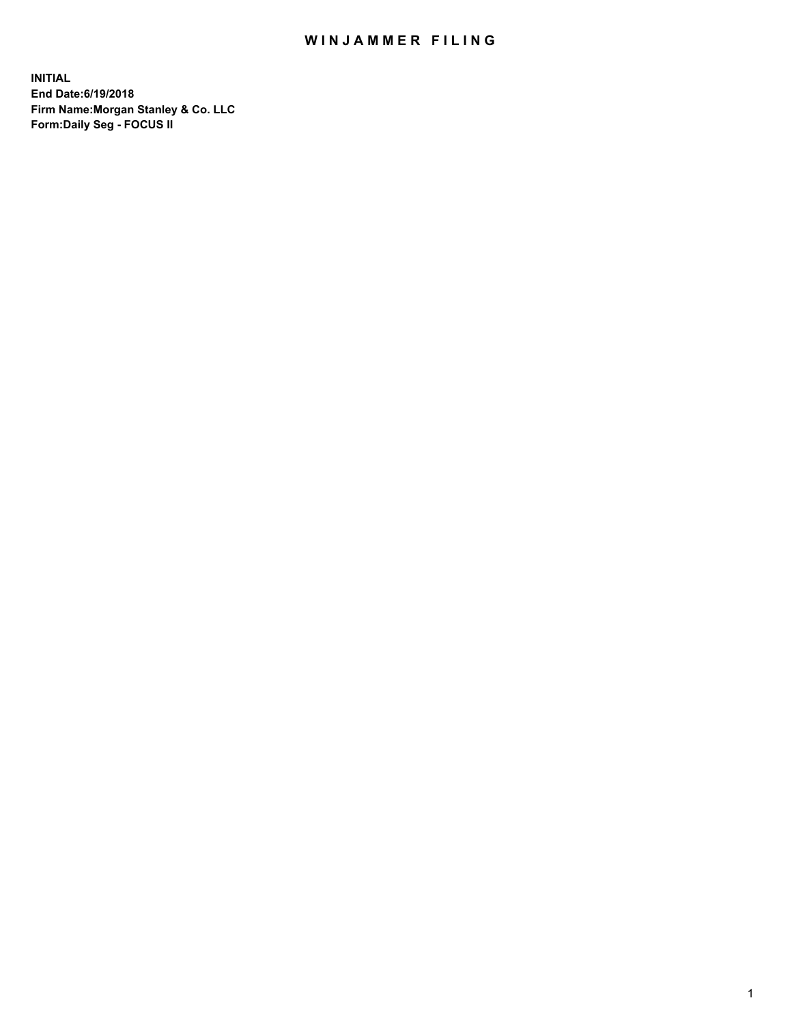## WIN JAMMER FILING

**INITIAL End Date:6/19/2018 Firm Name:Morgan Stanley & Co. LLC Form:Daily Seg - FOCUS II**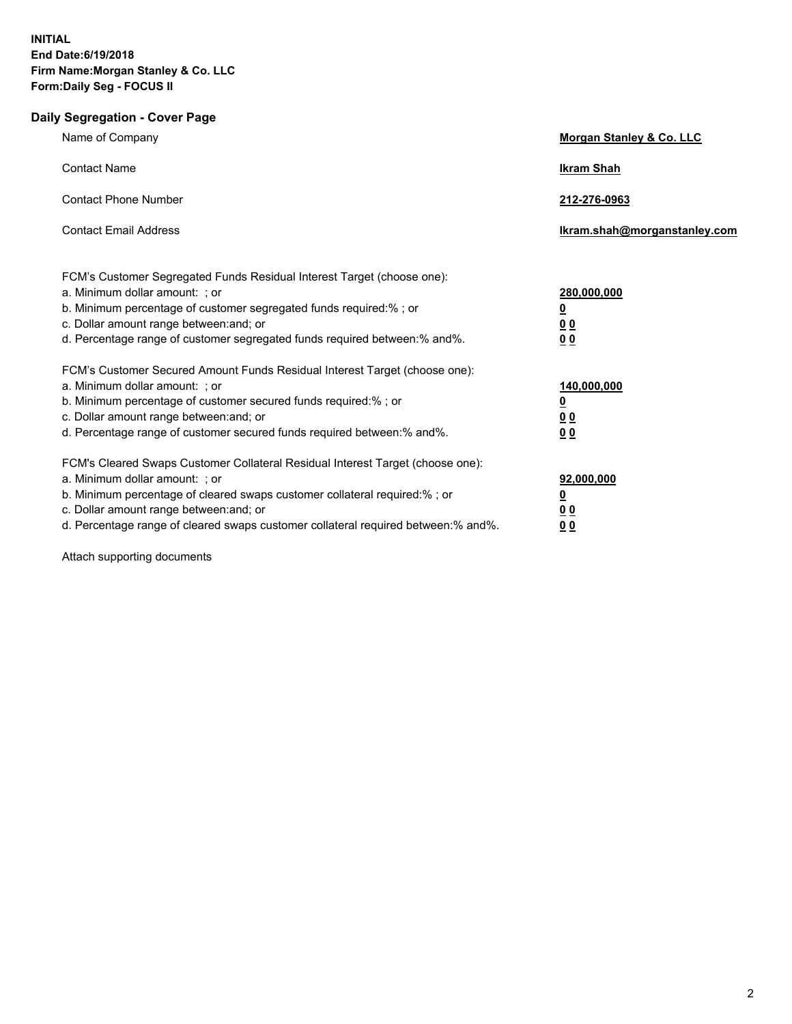## **Daily Segregation - Cover Page**

| Name of Company                                                                                                                                                                                                                                                                                                                  | Morgan Stanley & Co. LLC                                                  |
|----------------------------------------------------------------------------------------------------------------------------------------------------------------------------------------------------------------------------------------------------------------------------------------------------------------------------------|---------------------------------------------------------------------------|
| <b>Contact Name</b>                                                                                                                                                                                                                                                                                                              | <b>Ikram Shah</b>                                                         |
| <b>Contact Phone Number</b>                                                                                                                                                                                                                                                                                                      | 212-276-0963                                                              |
| <b>Contact Email Address</b>                                                                                                                                                                                                                                                                                                     | Ikram.shah@morganstanley.com                                              |
| FCM's Customer Segregated Funds Residual Interest Target (choose one):<br>a. Minimum dollar amount: ; or<br>b. Minimum percentage of customer segregated funds required:% ; or<br>c. Dollar amount range between: and; or<br>d. Percentage range of customer segregated funds required between:% and%.                           | 280,000,000<br>$\overline{\mathbf{0}}$<br>0 <sub>0</sub><br>00            |
| FCM's Customer Secured Amount Funds Residual Interest Target (choose one):<br>a. Minimum dollar amount: ; or<br>b. Minimum percentage of customer secured funds required:%; or<br>c. Dollar amount range between: and; or<br>d. Percentage range of customer secured funds required between: % and %.                            | 140,000,000<br>$\overline{\mathbf{0}}$<br><u>00</u><br>0 <sub>0</sub>     |
| FCM's Cleared Swaps Customer Collateral Residual Interest Target (choose one):<br>a. Minimum dollar amount: ; or<br>b. Minimum percentage of cleared swaps customer collateral required:% ; or<br>c. Dollar amount range between: and; or<br>d. Percentage range of cleared swaps customer collateral required between: % and %. | 92,000,000<br><u>0</u><br>$\underline{0} \underline{0}$<br>0 <sub>0</sub> |

Attach supporting documents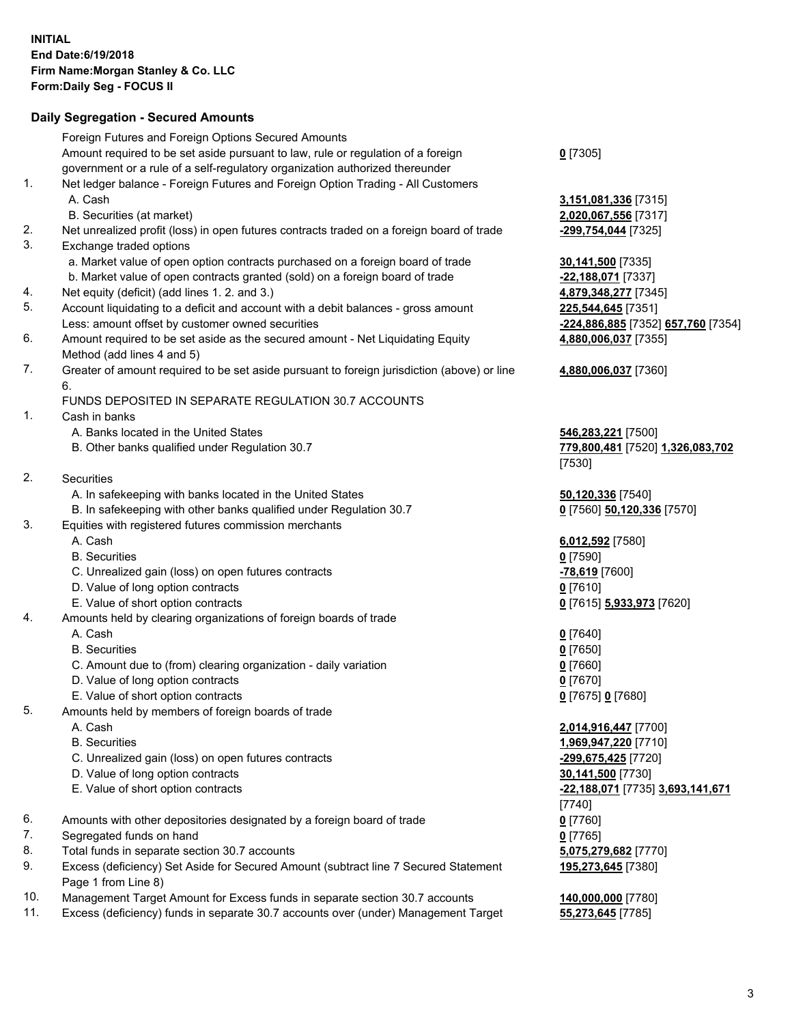## **Daily Segregation - Secured Amounts**

|     | Foreign Futures and Foreign Options Secured Amounts                                               |                                    |
|-----|---------------------------------------------------------------------------------------------------|------------------------------------|
|     | Amount required to be set aside pursuant to law, rule or regulation of a foreign                  | $0$ [7305]                         |
|     | government or a rule of a self-regulatory organization authorized thereunder                      |                                    |
| 1.  | Net ledger balance - Foreign Futures and Foreign Option Trading - All Customers                   |                                    |
|     | A. Cash                                                                                           |                                    |
|     |                                                                                                   | 3,151,081,336 [7315]               |
|     | B. Securities (at market)                                                                         | 2,020,067,556 [7317]               |
| 2.  | Net unrealized profit (loss) in open futures contracts traded on a foreign board of trade         | -299,754,044 [7325]                |
| 3.  | Exchange traded options                                                                           |                                    |
|     | a. Market value of open option contracts purchased on a foreign board of trade                    | 30,141,500 [7335]                  |
|     | b. Market value of open contracts granted (sold) on a foreign board of trade                      | -22,188,071 [7337]                 |
| 4.  | Net equity (deficit) (add lines 1. 2. and 3.)                                                     | 4,879,348,277 [7345]               |
| 5.  | Account liquidating to a deficit and account with a debit balances - gross amount                 | 225,544,645 [7351]                 |
|     | Less: amount offset by customer owned securities                                                  | -224,886,885 [7352] 657,760 [7354] |
| 6.  | Amount required to be set aside as the secured amount - Net Liquidating Equity                    | 4,880,006,037 [7355]               |
|     | Method (add lines 4 and 5)                                                                        |                                    |
| 7.  | Greater of amount required to be set aside pursuant to foreign jurisdiction (above) or line<br>6. | 4,880,006,037 [7360]               |
|     | FUNDS DEPOSITED IN SEPARATE REGULATION 30.7 ACCOUNTS                                              |                                    |
| 1.  | Cash in banks                                                                                     |                                    |
|     | A. Banks located in the United States                                                             | 546,283,221 [7500]                 |
|     | B. Other banks qualified under Regulation 30.7                                                    | 779,800,481 [7520] 1,326,083,702   |
|     |                                                                                                   | [7530]                             |
| 2.  | Securities                                                                                        |                                    |
|     | A. In safekeeping with banks located in the United States                                         | 50,120,336 [7540]                  |
|     | B. In safekeeping with other banks qualified under Regulation 30.7                                |                                    |
| 3.  |                                                                                                   | 0 [7560] 50,120,336 [7570]         |
|     | Equities with registered futures commission merchants                                             |                                    |
|     | A. Cash                                                                                           | 6,012,592 [7580]                   |
|     | <b>B.</b> Securities                                                                              | $0$ [7590]                         |
|     | C. Unrealized gain (loss) on open futures contracts                                               | -78,619 [7600]                     |
|     | D. Value of long option contracts                                                                 | $0$ [7610]                         |
|     | E. Value of short option contracts                                                                | 0 [7615] 5,933,973 [7620]          |
| 4.  | Amounts held by clearing organizations of foreign boards of trade                                 |                                    |
|     | A. Cash                                                                                           | $0$ [7640]                         |
|     | <b>B.</b> Securities                                                                              | $0$ [7650]                         |
|     | C. Amount due to (from) clearing organization - daily variation                                   | $0$ [7660]                         |
|     | D. Value of long option contracts                                                                 | $0$ [7670]                         |
|     | E. Value of short option contracts                                                                | 0 [7675] 0 [7680]                  |
| 5.  | Amounts held by members of foreign boards of trade                                                |                                    |
|     | A. Cash                                                                                           | 2,014,916,447 [7700]               |
|     | <b>B.</b> Securities                                                                              | 1,969,947,220 [7710]               |
|     | C. Unrealized gain (loss) on open futures contracts                                               | -299,675,425 [7720]                |
|     | D. Value of long option contracts                                                                 | 30,141,500 [7730]                  |
|     | E. Value of short option contracts                                                                | -22,188,071 [7735] 3,693,141,671   |
|     |                                                                                                   | $[7740]$                           |
| 6.  | Amounts with other depositories designated by a foreign board of trade                            | $0$ [7760]                         |
| 7.  | Segregated funds on hand                                                                          | $0$ [7765]                         |
| 8.  | Total funds in separate section 30.7 accounts                                                     | 5,075,279,682 [7770]               |
| 9.  | Excess (deficiency) Set Aside for Secured Amount (subtract line 7 Secured Statement               | 195,273,645 [7380]                 |
|     | Page 1 from Line 8)                                                                               |                                    |
| 10. | Management Target Amount for Excess funds in separate section 30.7 accounts                       | 140,000,000 [7780]                 |
| 11. | Excess (deficiency) funds in separate 30.7 accounts over (under) Management Target                | 55,273,645 [7785]                  |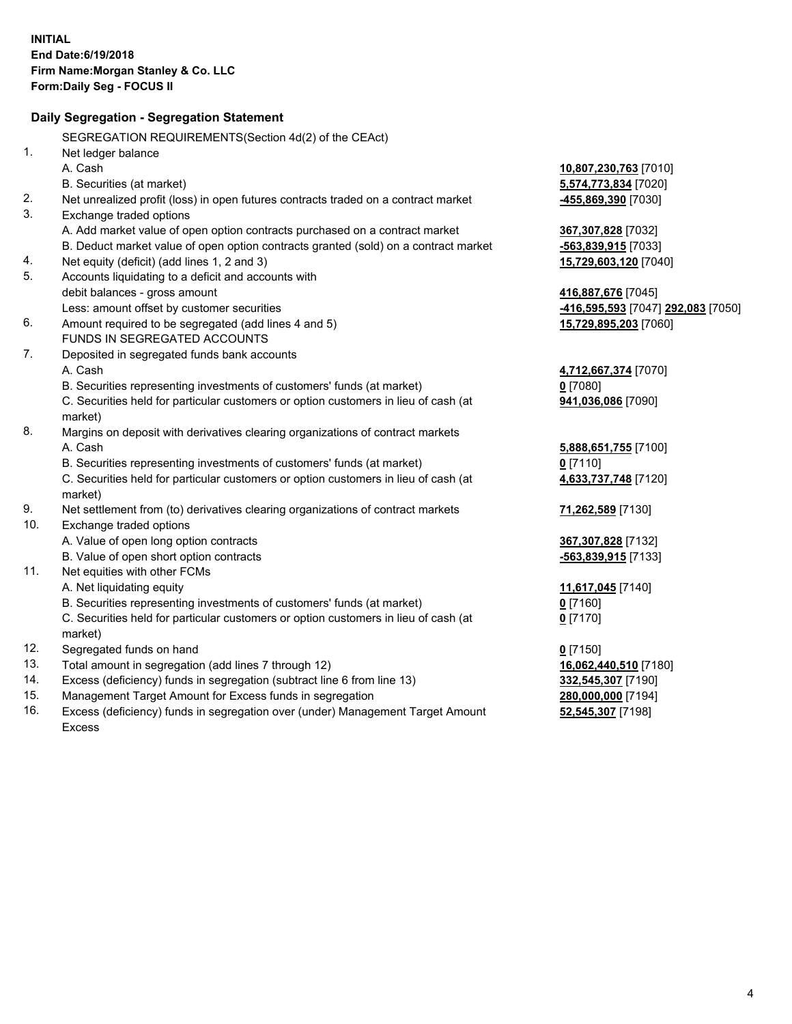|     | Daily Segregation - Segregation Statement                                           |                                    |
|-----|-------------------------------------------------------------------------------------|------------------------------------|
|     | SEGREGATION REQUIREMENTS(Section 4d(2) of the CEAct)                                |                                    |
| 1.  | Net ledger balance                                                                  |                                    |
|     | A. Cash                                                                             | 10,807,230,763 [7010]              |
|     | B. Securities (at market)                                                           | 5,574,773,834 [7020]               |
| 2.  | Net unrealized profit (loss) in open futures contracts traded on a contract market  | -455,869,390 [7030]                |
| 3.  | Exchange traded options                                                             |                                    |
|     | A. Add market value of open option contracts purchased on a contract market         | 367,307,828 [7032]                 |
|     | B. Deduct market value of open option contracts granted (sold) on a contract market | $-563,839,915$ [7033]              |
| 4.  | Net equity (deficit) (add lines 1, 2 and 3)                                         | 15,729,603,120 [7040]              |
| 5.  | Accounts liquidating to a deficit and accounts with                                 |                                    |
|     | debit balances - gross amount                                                       | 416,887,676 [7045]                 |
|     | Less: amount offset by customer securities                                          | -416,595,593 [7047] 292,083 [7050] |
| 6.  | Amount required to be segregated (add lines 4 and 5)                                | 15,729,895,203 [7060]              |
|     | FUNDS IN SEGREGATED ACCOUNTS                                                        |                                    |
| 7.  | Deposited in segregated funds bank accounts                                         |                                    |
|     | A. Cash                                                                             | 4,712,667,374 [7070]               |
|     | B. Securities representing investments of customers' funds (at market)              | $0$ [7080]                         |
|     | C. Securities held for particular customers or option customers in lieu of cash (at | 941,036,086 [7090]                 |
|     | market)                                                                             |                                    |
| 8.  | Margins on deposit with derivatives clearing organizations of contract markets      |                                    |
|     | A. Cash                                                                             | 5,888,651,755 [7100]               |
|     | B. Securities representing investments of customers' funds (at market)              | $0$ [7110]                         |
|     | C. Securities held for particular customers or option customers in lieu of cash (at | 4,633,737,748 [7120]               |
|     | market)                                                                             |                                    |
| 9.  | Net settlement from (to) derivatives clearing organizations of contract markets     | 71,262,589 [7130]                  |
| 10. | Exchange traded options                                                             |                                    |
|     | A. Value of open long option contracts                                              | 367, 307, 828 [7132]               |
|     | B. Value of open short option contracts                                             | -563,839,915 [7133]                |
| 11. | Net equities with other FCMs                                                        |                                    |
|     | A. Net liquidating equity                                                           | 11,617,045 [7140]                  |
|     | B. Securities representing investments of customers' funds (at market)              | $0$ [7160]                         |
|     | C. Securities held for particular customers or option customers in lieu of cash (at | $0$ [7170]                         |
|     | market)                                                                             |                                    |
| 12. | Segregated funds on hand                                                            | $0$ [7150]                         |
| 13. | Total amount in segregation (add lines 7 through 12)                                | 16,062,440,510 [7180]              |
| 14. | Excess (deficiency) funds in segregation (subtract line 6 from line 13)             | 332,545,307 [7190]                 |
| 15. | Management Target Amount for Excess funds in segregation                            | 280,000,000 [7194]                 |
| 16. | Excess (deficiency) funds in segregation over (under) Management Target Amount      | 52,545,307 [7198]                  |
|     | Excess                                                                              |                                    |